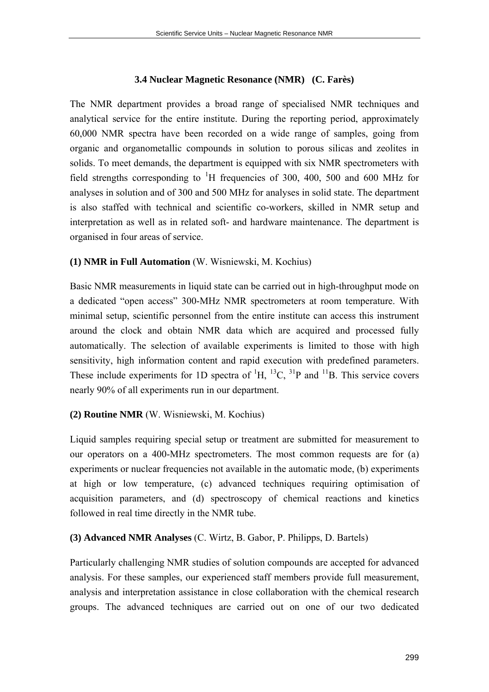# **3.4 Nuclear Magnetic Resonance (NMR) (C. Farès)**

The NMR department provides a broad range of specialised NMR techniques and analytical service for the entire institute. During the reporting period, approximately 60,000 NMR spectra have been recorded on a wide range of samples, going from organic and organometallic compounds in solution to porous silicas and zeolites in solids. To meet demands, the department is equipped with six NMR spectrometers with field strengths corresponding to  ${}^{1}H$  frequencies of 300, 400, 500 and 600 MHz for analyses in solution and of 300 and 500 MHz for analyses in solid state. The department is also staffed with technical and scientific co-workers, skilled in NMR setup and interpretation as well as in related soft- and hardware maintenance. The department is organised in four areas of service.

# **(1) NMR in Full Automation** (W. Wisniewski, M. Kochius)

Basic NMR measurements in liquid state can be carried out in high-throughput mode on a dedicated "open access" 300-MHz NMR spectrometers at room temperature. With minimal setup, scientific personnel from the entire institute can access this instrument around the clock and obtain NMR data which are acquired and processed fully automatically. The selection of available experiments is limited to those with high sensitivity, high information content and rapid execution with predefined parameters. These include experiments for 1D spectra of  ${}^{1}H$ ,  ${}^{13}C$ ,  ${}^{31}P$  and  ${}^{11}B$ . This service covers nearly 90% of all experiments run in our department.

# **(2) Routine NMR** (W. Wisniewski, M. Kochius)

Liquid samples requiring special setup or treatment are submitted for measurement to our operators on a 400-MHz spectrometers. The most common requests are for (a) experiments or nuclear frequencies not available in the automatic mode, (b) experiments at high or low temperature, (c) advanced techniques requiring optimisation of acquisition parameters, and (d) spectroscopy of chemical reactions and kinetics followed in real time directly in the NMR tube.

### **(3) Advanced NMR Analyses** (C. Wirtz, B. Gabor, P. Philipps, D. Bartels)

Particularly challenging NMR studies of solution compounds are accepted for advanced analysis. For these samples, our experienced staff members provide full measurement, analysis and interpretation assistance in close collaboration with the chemical research groups. The advanced techniques are carried out on one of our two dedicated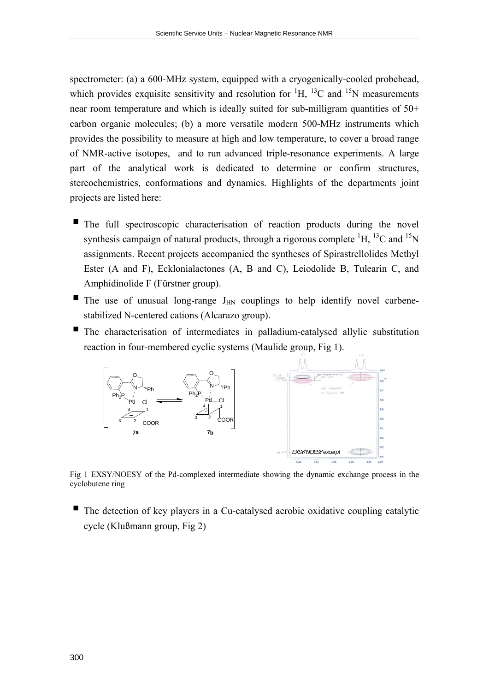spectrometer: (a) a 600-MHz system, equipped with a cryogenically-cooled probehead, which provides exquisite sensitivity and resolution for  ${}^{1}H$ ,  ${}^{13}C$  and  ${}^{15}N$  measurements near room temperature and which is ideally suited for sub-milligram quantities of 50+ carbon organic molecules; (b) a more versatile modern 500-MHz instruments which provides the possibility to measure at high and low temperature, to cover a broad range of NMR-active isotopes, and to run advanced triple-resonance experiments. A large part of the analytical work is dedicated to determine or confirm structures, stereochemistries, conformations and dynamics. Highlights of the departments joint projects are listed here:

- $\blacksquare$  The full spectroscopic characterisation of reaction products during the novel synthesis campaign of natural products, through a rigorous complete  ${}^{1}H$ ,  ${}^{13}C$  and  ${}^{15}N$ assignments. Recent projects accompanied the syntheses of Spirastrellolides Methyl Ester (A and F), Ecklonialactones (A, B and C), Leiodolide B, Tulearin C, and Amphidinolide F (Fürstner group).
- The use of unusual long-range  $J_{HN}$  couplings to help identify novel carbenestabilized N-centered cations (Alcarazo group).
- The characterisation of intermediates in palladium-catalysed allylic substitution reaction in four-membered cyclic systems (Maulide group, Fig 1).



Fig 1 EXSY/NOESY of the Pd-complexed intermediate showing the dynamic exchange process in the cyclobutene ring

 The detection of key players in a Cu-catalysed aerobic oxidative coupling catalytic cycle (Klußmann group, Fig 2)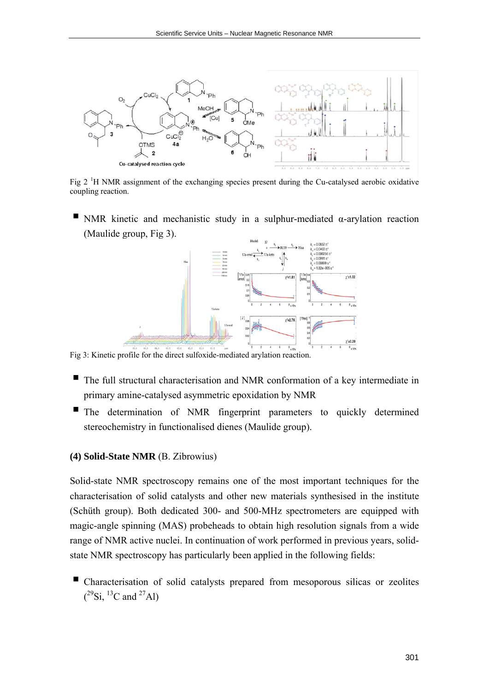

Fig 2  $\mathrm{^{1}H}$  NMR assignment of the exchanging species present during the Cu-catalysed aerobic oxidative coupling reaction.

NMR kinetic and mechanistic study in a sulphur-mediated  $\alpha$ -arylation reaction (Maulide group, Fig 3).



Fig 3: Kinetic profile for the direct sulfoxide-mediated arylation reaction.

- The full structural characterisation and NMR conformation of a key intermediate in primary amine-catalysed asymmetric epoxidation by NMR
- The determination of NMR fingerprint parameters to quickly determined stereochemistry in functionalised dienes (Maulide group).

#### **(4) Solid-State NMR** (B. Zibrowius)

Solid-state NMR spectroscopy remains one of the most important techniques for the characterisation of solid catalysts and other new materials synthesised in the institute (Schüth group). Both dedicated 300- and 500-MHz spectrometers are equipped with magic-angle spinning (MAS) probeheads to obtain high resolution signals from a wide range of NMR active nuclei. In continuation of work performed in previous years, solidstate NMR spectroscopy has particularly been applied in the following fields:

 Characterisation of solid catalysts prepared from mesoporous silicas or zeolites  $(^{29}\text{Si}, ^{13}\text{C}$  and  $^{27}\text{Al})$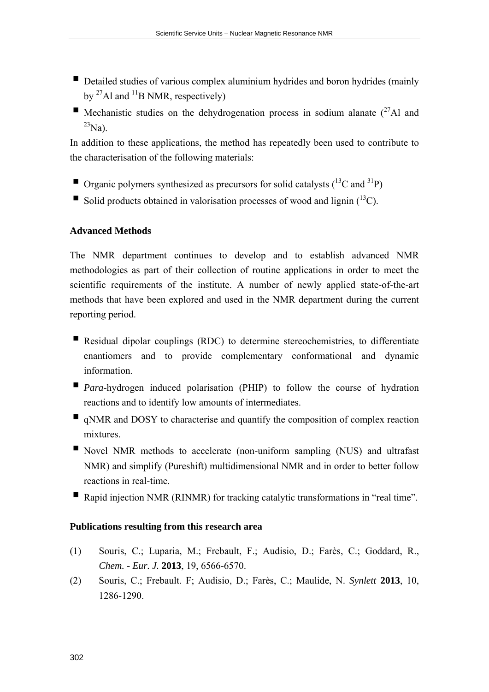- Detailed studies of various complex aluminium hydrides and boron hydrides (mainly by  $^{27}$ Al and  $^{11}$ B NMR, respectively)
- Mechanistic studies on the dehydrogenation process in sodium alanate  $(^{27}$ Al and  $^{23}$ Na).

In addition to these applications, the method has repeatedly been used to contribute to the characterisation of the following materials:

- **Organic polymers synthesized as precursors for solid catalysts**  $\binom{13}{12}$  cand  $\binom{31}{12}$
- Solid products obtained in valorisation processes of wood and lignin  $(^{13}C)$ .

# **Advanced Methods**

The NMR department continues to develop and to establish advanced NMR methodologies as part of their collection of routine applications in order to meet the scientific requirements of the institute. A number of newly applied state-of-the-art methods that have been explored and used in the NMR department during the current reporting period.

- Residual dipolar couplings (RDC) to determine stereochemistries, to differentiate enantiomers and to provide complementary conformational and dynamic information.
- **Para-hydrogen** induced polarisation (PHIP) to follow the course of hydration reactions and to identify low amounts of intermediates.
- qNMR and DOSY to characterise and quantify the composition of complex reaction mixtures.
- Novel NMR methods to accelerate (non-uniform sampling (NUS) and ultrafast NMR) and simplify (Pureshift) multidimensional NMR and in order to better follow reactions in real-time.
- Rapid injection NMR (RINMR) for tracking catalytic transformations in "real time".

### **Publications resulting from this research area**

- (1) Souris, C.; Luparia, M.; Frebault, F.; Audisio, D.; Farès, C.; Goddard, R., *Chem. - Eur. J.* **2013**, 19, 6566-6570.
- (2) Souris, C.; Frebault. F; Audisio, D.; Farès, C.; Maulide, N. *Synlett* **2013**, 10, 1286-1290.